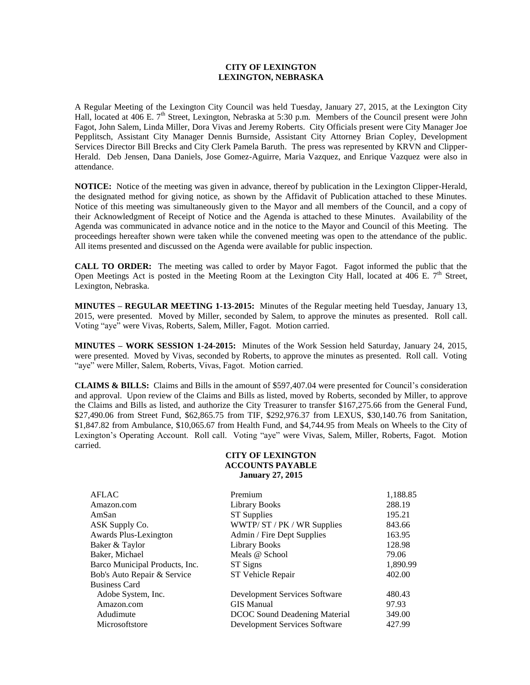## **CITY OF LEXINGTON LEXINGTON, NEBRASKA**

A Regular Meeting of the Lexington City Council was held Tuesday, January 27, 2015, at the Lexington City Hall, located at 406 E.  $7<sup>th</sup>$  Street, Lexington, Nebraska at 5:30 p.m. Members of the Council present were John Fagot, John Salem, Linda Miller, Dora Vivas and Jeremy Roberts. City Officials present were City Manager Joe Pepplitsch, Assistant City Manager Dennis Burnside, Assistant City Attorney Brian Copley, Development Services Director Bill Brecks and City Clerk Pamela Baruth. The press was represented by KRVN and Clipper-Herald. Deb Jensen, Dana Daniels, Jose Gomez-Aguirre, Maria Vazquez, and Enrique Vazquez were also in attendance.

**NOTICE:** Notice of the meeting was given in advance, thereof by publication in the Lexington Clipper-Herald, the designated method for giving notice, as shown by the Affidavit of Publication attached to these Minutes. Notice of this meeting was simultaneously given to the Mayor and all members of the Council, and a copy of their Acknowledgment of Receipt of Notice and the Agenda is attached to these Minutes. Availability of the Agenda was communicated in advance notice and in the notice to the Mayor and Council of this Meeting. The proceedings hereafter shown were taken while the convened meeting was open to the attendance of the public. All items presented and discussed on the Agenda were available for public inspection.

**CALL TO ORDER:** The meeting was called to order by Mayor Fagot. Fagot informed the public that the Open Meetings Act is posted in the Meeting Room at the Lexington City Hall, located at 406 E.  $7<sup>th</sup>$  Street, Lexington, Nebraska.

**MINUTES – REGULAR MEETING 1-13-2015:** Minutes of the Regular meeting held Tuesday, January 13, 2015, were presented. Moved by Miller, seconded by Salem, to approve the minutes as presented. Roll call. Voting "aye" were Vivas, Roberts, Salem, Miller, Fagot. Motion carried.

**MINUTES – WORK SESSION 1-24-2015:** Minutes of the Work Session held Saturday, January 24, 2015, were presented. Moved by Vivas, seconded by Roberts, to approve the minutes as presented. Roll call. Voting "aye" were Miller, Salem, Roberts, Vivas, Fagot. Motion carried.

**CLAIMS & BILLS:** Claims and Bills in the amount of \$597,407.04 were presented for Council's consideration and approval. Upon review of the Claims and Bills as listed, moved by Roberts, seconded by Miller, to approve the Claims and Bills as listed, and authorize the City Treasurer to transfer \$167,275.66 from the General Fund, \$27,490.06 from Street Fund, \$62,865.75 from TIF, \$292,976.37 from LEXUS, \$30,140.76 from Sanitation, \$1,847.82 from Ambulance, \$10,065.67 from Health Fund, and \$4,744.95 from Meals on Wheels to the City of Lexington's Operating Account. Roll call. Voting "aye" were Vivas, Salem, Miller, Roberts, Fagot. Motion carried.

## **CITY OF LEXINGTON ACCOUNTS PAYABLE January 27, 2015**

| Premium                       | 1,188.85 |
|-------------------------------|----------|
| Library Books                 | 288.19   |
| <b>ST Supplies</b>            | 195.21   |
| WWTP/ST/PK/WR Supplies        | 843.66   |
| Admin / Fire Dept Supplies    | 163.95   |
| <b>Library Books</b>          | 128.98   |
| Meals @ School                | 79.06    |
| ST Signs                      | 1,890.99 |
| ST Vehicle Repair             | 402.00   |
|                               |          |
| Development Services Software | 480.43   |
| <b>GIS Manual</b>             | 97.93    |
| DCOC Sound Deadening Material | 349.00   |
| Development Services Software | 427.99   |
|                               |          |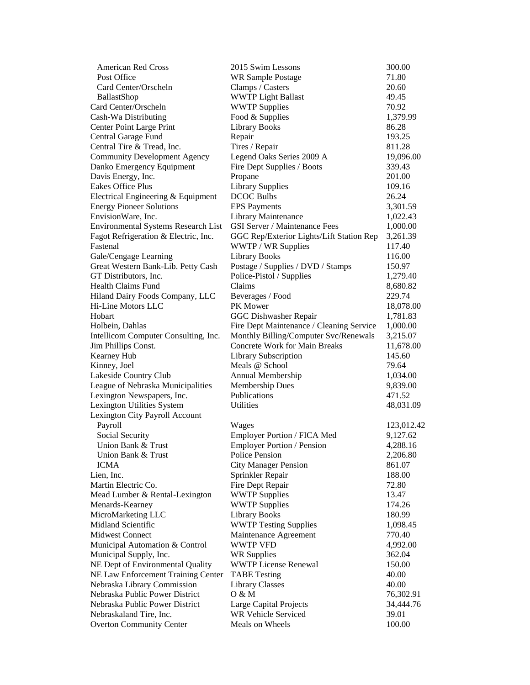| <b>American Red Cross</b>                  | 2015 Swim Lessons                        | 300.00     |
|--------------------------------------------|------------------------------------------|------------|
| Post Office                                | <b>WR Sample Postage</b>                 | 71.80      |
| Card Center/Orscheln                       | Clamps / Casters                         | 20.60      |
| BallastShop                                | <b>WWTP Light Ballast</b>                | 49.45      |
| Card Center/Orscheln                       | <b>WWTP Supplies</b>                     | 70.92      |
| Cash-Wa Distributing                       | Food & Supplies                          | 1,379.99   |
| Center Point Large Print                   | <b>Library Books</b>                     | 86.28      |
| Central Garage Fund                        | Repair                                   | 193.25     |
| Central Tire & Tread, Inc.                 | Tires / Repair                           | 811.28     |
| <b>Community Development Agency</b>        | Legend Oaks Series 2009 A                | 19,096.00  |
| Danko Emergency Equipment                  | Fire Dept Supplies / Boots               | 339.43     |
| Davis Energy, Inc.                         | Propane                                  | 201.00     |
| Eakes Office Plus                          | <b>Library Supplies</b>                  | 109.16     |
| Electrical Engineering & Equipment         | <b>DCOC Bulbs</b>                        | 26.24      |
| <b>Energy Pioneer Solutions</b>            | <b>EPS</b> Payments                      | 3,301.59   |
| EnvisionWare, Inc.                         | Library Maintenance                      | 1,022.43   |
| <b>Environmental Systems Research List</b> | <b>GSI Server / Maintenance Fees</b>     | 1,000.00   |
| Fagot Refrigeration & Electric, Inc.       | GGC Rep/Exterior Lights/Lift Station Rep | 3,261.39   |
| Fastenal                                   | WWTP / WR Supplies                       | 117.40     |
| Gale/Cengage Learning                      | <b>Library Books</b>                     | 116.00     |
| Great Western Bank-Lib. Petty Cash         | Postage / Supplies / DVD / Stamps        | 150.97     |
| GT Distributors, Inc.                      | Police-Pistol / Supplies                 | 1,279.40   |
| <b>Health Claims Fund</b>                  | Claims                                   | 8,680.82   |
| Hiland Dairy Foods Company, LLC            | Beverages / Food                         | 229.74     |
| Hi-Line Motors LLC                         | PK Mower                                 | 18,078.00  |
| Hobart                                     | GGC Dishwasher Repair                    | 1,781.83   |
| Holbein, Dahlas                            | Fire Dept Maintenance / Cleaning Service | 1,000.00   |
| Intellicom Computer Consulting, Inc.       | Monthly Billing/Computer Svc/Renewals    | 3,215.07   |
| Jim Phillips Const.                        | <b>Concrete Work for Main Breaks</b>     | 11,678.00  |
| Kearney Hub                                | Library Subscription                     | 145.60     |
| Kinney, Joel                               | Meals @ School                           | 79.64      |
| Lakeside Country Club                      | Annual Membership                        | 1,034.00   |
| League of Nebraska Municipalities          | Membership Dues                          | 9,839.00   |
| Lexington Newspapers, Inc.                 | Publications                             | 471.52     |
| Lexington Utilities System                 | <b>Utilities</b>                         | 48,031.09  |
| Lexington City Payroll Account             |                                          |            |
| Payroll                                    | Wages                                    | 123,012.42 |
| Social Security                            | Employer Portion / FICA Med              | 9,127.62   |
| Union Bank & Trust                         | <b>Employer Portion / Pension</b>        | 4,288.16   |
| Union Bank & Trust                         | Police Pension                           | 2,206.80   |
| <b>ICMA</b>                                | <b>City Manager Pension</b>              | 861.07     |
| Lien, Inc.                                 | Sprinkler Repair                         | 188.00     |
| Martin Electric Co.                        | Fire Dept Repair                         | 72.80      |
| Mead Lumber & Rental-Lexington             | <b>WWTP Supplies</b>                     | 13.47      |
| Menards-Kearney                            | <b>WWTP Supplies</b>                     | 174.26     |
| MicroMarketing LLC                         | <b>Library Books</b>                     | 180.99     |
| Midland Scientific                         | <b>WWTP Testing Supplies</b>             | 1,098.45   |
| <b>Midwest Connect</b>                     | Maintenance Agreement                    | 770.40     |
| Municipal Automation & Control             | <b>WWTP VFD</b>                          | 4,992.00   |
| Municipal Supply, Inc.                     | <b>WR Supplies</b>                       | 362.04     |
| NE Dept of Environmental Quality           | <b>WWTP License Renewal</b>              | 150.00     |
| NE Law Enforcement Training Center         | <b>TABE Testing</b>                      | 40.00      |
| Nebraska Library Commission                | <b>Library Classes</b>                   | 40.00      |
| Nebraska Public Power District             | O & M                                    | 76,302.91  |
| Nebraska Public Power District             | Large Capital Projects                   | 34,444.76  |
| Nebraskaland Tire, Inc.                    | WR Vehicle Serviced                      | 39.01      |
| <b>Overton Community Center</b>            | Meals on Wheels                          | 100.00     |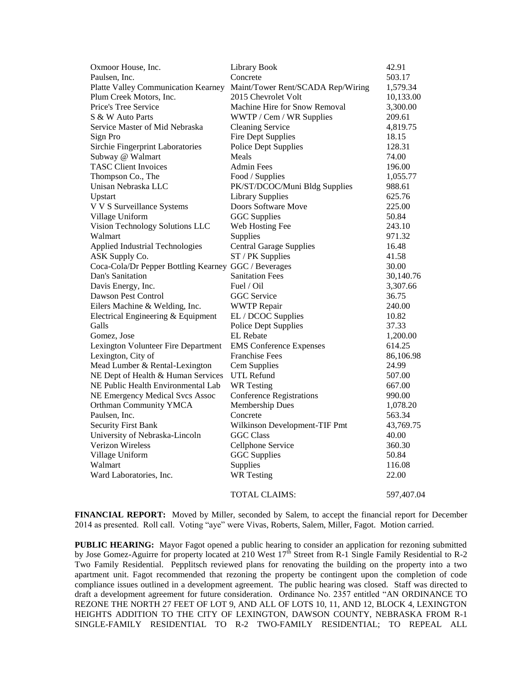| Oxmoor House, Inc.                                   | Library Book                      | 42.91      |
|------------------------------------------------------|-----------------------------------|------------|
| Paulsen, Inc.                                        | Concrete                          | 503.17     |
| Platte Valley Communication Kearney                  | Maint/Tower Rent/SCADA Rep/Wiring | 1,579.34   |
| Plum Creek Motors, Inc.                              | 2015 Chevrolet Volt               | 10,133.00  |
| Price's Tree Service                                 | Machine Hire for Snow Removal     | 3,300.00   |
| S & W Auto Parts                                     | WWTP / Cem / WR Supplies          | 209.61     |
| Service Master of Mid Nebraska                       | <b>Cleaning Service</b>           | 4,819.75   |
| Sign Pro                                             | <b>Fire Dept Supplies</b>         | 18.15      |
| Sirchie Fingerprint Laboratories                     | <b>Police Dept Supplies</b>       | 128.31     |
| Subway @ Walmart                                     | Meals                             | 74.00      |
| <b>TASC Client Invoices</b>                          | <b>Admin Fees</b>                 | 196.00     |
| Thompson Co., The                                    | Food / Supplies                   | 1,055.77   |
| Unisan Nebraska LLC                                  | PK/ST/DCOC/Muni Bldg Supplies     | 988.61     |
| Upstart                                              | <b>Library Supplies</b>           | 625.76     |
| V V S Surveillance Systems                           | Doors Software Move               | 225.00     |
| Village Uniform                                      | <b>GGC</b> Supplies               | 50.84      |
| Vision Technology Solutions LLC                      | Web Hosting Fee                   | 243.10     |
| Walmart                                              | Supplies                          | 971.32     |
| Applied Industrial Technologies                      | <b>Central Garage Supplies</b>    | 16.48      |
| ASK Supply Co.                                       | ST / PK Supplies                  | 41.58      |
| Coca-Cola/Dr Pepper Bottling Kearney GGC / Beverages |                                   | 30.00      |
| Dan's Sanitation                                     | <b>Sanitation Fees</b>            | 30,140.76  |
| Davis Energy, Inc.                                   | Fuel / Oil                        | 3,307.66   |
| Dawson Pest Control                                  | <b>GGC</b> Service                | 36.75      |
| Eilers Machine & Welding, Inc.                       | <b>WWTP</b> Repair                | 240.00     |
| Electrical Engineering & Equipment                   | EL / DCOC Supplies                | 10.82      |
| Galls                                                | <b>Police Dept Supplies</b>       | 37.33      |
| Gomez, Jose                                          | <b>EL</b> Rebate                  | 1,200.00   |
| Lexington Volunteer Fire Department                  | <b>EMS</b> Conference Expenses    | 614.25     |
| Lexington, City of                                   | <b>Franchise Fees</b>             | 86,106.98  |
| Mead Lumber & Rental-Lexington                       | Cem Supplies                      | 24.99      |
| NE Dept of Health & Human Services                   | <b>UTL Refund</b>                 | 507.00     |
| NE Public Health Environmental Lab                   | <b>WR</b> Testing                 | 667.00     |
| NE Emergency Medical Svcs Assoc                      | <b>Conference Registrations</b>   | 990.00     |
| Orthman Community YMCA                               | <b>Membership Dues</b>            | 1,078.20   |
| Paulsen, Inc.                                        | Concrete                          | 563.34     |
| <b>Security First Bank</b>                           | Wilkinson Development-TIF Pmt     | 43,769.75  |
| University of Nebraska-Lincoln                       | <b>GGC Class</b>                  | 40.00      |
| <b>Verizon Wireless</b>                              | Cellphone Service                 | 360.30     |
| Village Uniform                                      | <b>GGC</b> Supplies               | 50.84      |
| Walmart                                              | Supplies                          | 116.08     |
| Ward Laboratories, Inc.                              | <b>WR</b> Testing                 | 22.00      |
|                                                      |                                   |            |
|                                                      | TOTAL CLAIMS:                     | 597,407.04 |

**FINANCIAL REPORT:** Moved by Miller, seconded by Salem, to accept the financial report for December 2014 as presented. Roll call. Voting "aye" were Vivas, Roberts, Salem, Miller, Fagot. Motion carried.

**PUBLIC HEARING:** Mayor Fagot opened a public hearing to consider an application for rezoning submitted by Jose Gomez-Aguirre for property located at 210 West  $17^{\text{th}}$  Street from R-1 Single Family Residential to R-2 Two Family Residential. Pepplitsch reviewed plans for renovating the building on the property into a two apartment unit. Fagot recommended that rezoning the property be contingent upon the completion of code compliance issues outlined in a development agreement. The public hearing was closed. Staff was directed to draft a development agreement for future consideration. Ordinance No. 2357 entitled "AN ORDINANCE TO REZONE THE NORTH 27 FEET OF LOT 9, AND ALL OF LOTS 10, 11, AND 12, BLOCK 4, LEXINGTON HEIGHTS ADDITION TO THE CITY OF LEXINGTON, DAWSON COUNTY, NEBRASKA FROM R-1 SINGLE-FAMILY RESIDENTIAL TO R-2 TWO-FAMILY RESIDENTIAL; TO REPEAL ALL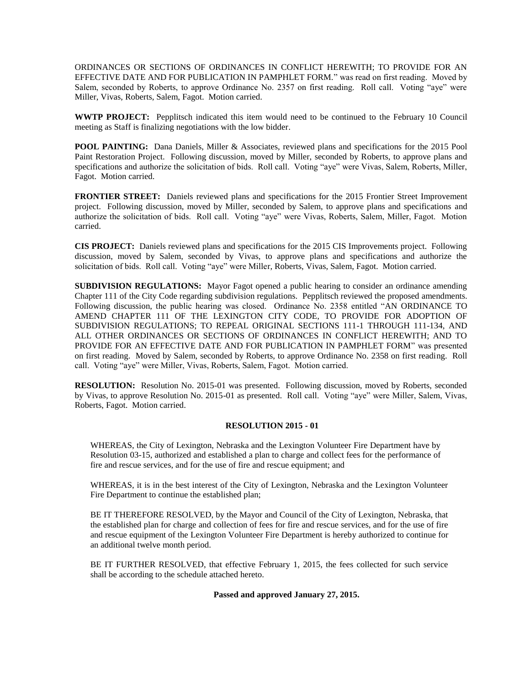ORDINANCES OR SECTIONS OF ORDINANCES IN CONFLICT HEREWITH; TO PROVIDE FOR AN EFFECTIVE DATE AND FOR PUBLICATION IN PAMPHLET FORM." was read on first reading. Moved by Salem, seconded by Roberts, to approve Ordinance No. 2357 on first reading. Roll call. Voting "aye" were Miller, Vivas, Roberts, Salem, Fagot. Motion carried.

**WWTP PROJECT:** Pepplitsch indicated this item would need to be continued to the February 10 Council meeting as Staff is finalizing negotiations with the low bidder.

**POOL PAINTING:** Dana Daniels, Miller & Associates, reviewed plans and specifications for the 2015 Pool Paint Restoration Project. Following discussion, moved by Miller, seconded by Roberts, to approve plans and specifications and authorize the solicitation of bids. Roll call. Voting "aye" were Vivas, Salem, Roberts, Miller, Fagot. Motion carried.

**FRONTIER STREET:** Daniels reviewed plans and specifications for the 2015 Frontier Street Improvement project. Following discussion, moved by Miller, seconded by Salem, to approve plans and specifications and authorize the solicitation of bids. Roll call. Voting "aye" were Vivas, Roberts, Salem, Miller, Fagot. Motion carried.

**CIS PROJECT:** Daniels reviewed plans and specifications for the 2015 CIS Improvements project. Following discussion, moved by Salem, seconded by Vivas, to approve plans and specifications and authorize the solicitation of bids. Roll call. Voting "aye" were Miller, Roberts, Vivas, Salem, Fagot. Motion carried.

**SUBDIVISION REGULATIONS:** Mayor Fagot opened a public hearing to consider an ordinance amending Chapter 111 of the City Code regarding subdivision regulations. Pepplitsch reviewed the proposed amendments. Following discussion, the public hearing was closed. Ordinance No. 2358 entitled "AN ORDINANCE TO AMEND CHAPTER 111 OF THE LEXINGTON CITY CODE, TO PROVIDE FOR ADOPTION OF SUBDIVISION REGULATIONS; TO REPEAL ORIGINAL SECTIONS 111-1 THROUGH 111-134, AND ALL OTHER ORDINANCES OR SECTIONS OF ORDINANCES IN CONFLICT HEREWITH; AND TO PROVIDE FOR AN EFFECTIVE DATE AND FOR PUBLICATION IN PAMPHLET FORM" was presented on first reading. Moved by Salem, seconded by Roberts, to approve Ordinance No. 2358 on first reading. Roll call. Voting "aye" were Miller, Vivas, Roberts, Salem, Fagot. Motion carried.

**RESOLUTION:** Resolution No. 2015-01 was presented. Following discussion, moved by Roberts, seconded by Vivas, to approve Resolution No. 2015-01 as presented. Roll call. Voting "aye" were Miller, Salem, Vivas, Roberts, Fagot. Motion carried.

## **RESOLUTION 2015 - 01**

WHEREAS, the City of Lexington, Nebraska and the Lexington Volunteer Fire Department have by Resolution 03-15, authorized and established a plan to charge and collect fees for the performance of fire and rescue services, and for the use of fire and rescue equipment; and

WHEREAS, it is in the best interest of the City of Lexington, Nebraska and the Lexington Volunteer Fire Department to continue the established plan;

BE IT THEREFORE RESOLVED, by the Mayor and Council of the City of Lexington, Nebraska, that the established plan for charge and collection of fees for fire and rescue services, and for the use of fire and rescue equipment of the Lexington Volunteer Fire Department is hereby authorized to continue for an additional twelve month period.

BE IT FURTHER RESOLVED, that effective February 1, 2015, the fees collected for such service shall be according to the schedule attached hereto.

**Passed and approved January 27, 2015.**